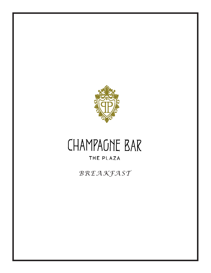

## **CHAMPAGNE BAR**

## THE PLAZA

*BREA KFAST*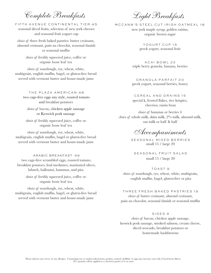Complete Breakfasts

FIFTH AVENUE CONTINENTAL TIER 45 seasonal sliced fruits, selection of new york cheeses and seasonal fruit yogurt cup

*choice of:* three fresh baked pastries: butter croissant, almond croissant, pain au chocolat, seasonal danish or seasonal muffin

> *choice of*: freshly squeezed juice, coffee or organic loose leaf tea

*choice of*: sourdough, rye, wheat, white, multigrain, english muffin, bagel, or gluten-free bread served with vermont butter and house-made jams

THE PLAZA AMERICAN 48 two cage-free eggs any style, roasted tomato and breakfast potatoes

*choice of*: bacon, chicken apple sausage or Keswick pork sausage

*choice of*: freshly squeezed juice, coffee or organic loose leaf tea

*choice of*: sourdough, rye, wheat, white, multigrain, english muffin, bagel or gluten-free bread served with vermont butter and house-made jams

ARABIC BREAKFAST 49 two cage-free scrambled eggs, roasted tomato, breakfast potatoes, foul medames, marinated olives, labneh, halloumi, hummus, and pita

> *choice of*: freshly squeezed juice, coffee or organic loose leaf tea

*choice of:* sourdough, rye, wheat, white, multigrain, english muffin, bagel, or gluten-free bread served with vermont butter and house-made jams

Light Breakfasts

MCCANN'S STEEL CUT IRISH OATMEAL 18 new york maple syrup, golden raisins, organic brown sugar

> YOGURT CUP 15 greek yogurt, seasonal fruit

A C AI BOWL 2 2 triple berry granola, banana, berries

GRANOLA PARFAIT 20 greek yogurt, seasonal berries, honey

CEREAL AND GRAINS 15 special k, frosted flakes, rice krispies, cheerios, raisin bran

*choice of*: bananas or berries 4 *choice of*: whole milk, skim milk, 2% milk, almond milk, oat milk or half & half

Accompaniments

SEASONAL MIXED BERRIES small 15 / large 20

SEASONAL FRUIT SALAD small 15 / large 20

TOAST 9 *choice of*: sourdough, rye, wheat, white, multigrain, english muffin, bagel, gluten-free or pita

THREE FRESH BAKED PASTRIES 19 *choice of*: butter croissant, almond croissant, pain au chocolat, seasonal danish or seasonal muffin

## SIDES<sub>9</sub>

*choice of*: bacon, chicken apple sausage, keswick pork sausage, smoked salmon, cream cheese, sliced avocado, breakfast potatoes or homemade hashbrowns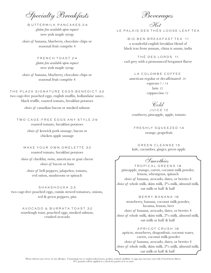Specialty Breakfasts

B UTTERMILK PANCAKES 24 *gluten-free available upon request* new york maple syrup

*choice of*: banana, blueberry, chocolate chips or seasonal fruit compôte 4

> FRENCH TOAST 24 *gluten-free available upon request* new york maple syrup

*choice of*: banana, blueberry, chocolate chips or seasonal fruit compôte 4

THE PLAZA SIGNATURE EGGS BENEDICT 32 two cage-free poached eggs, english muffin, hollandaise sauce, black truffle, roasted tomato, breakfast potatoes

*choice of*: canadian bacon or smoked salmon

TWO CAGE-FREE EGGS ANY STYLE 29 roasted tomato, breakfast potatoes

> *choice of*: keswick pork sausage, bacon or chicken apple sausage

MAKE YOUR OWN OMELETTE 32 roasted tomato, breakfast potatoes

*choice of*: cheddar, swiss, american or goat cheese *choice of:* bacon or ham

*choice of*: bell peppers, jalapeños, tomato, red onion, mushroom or spinach

SHAKSHOUKA 33 two cage-free poached eggs, cumin stewed tomatoes, onions, red & green peppers, pita

> AVOCADO & BURRATA TOAST 32 sourdough toast, poached eggs, smoked salmon, crushed avocado

Beverages

Hot LE PALAIS DES THÉS LOOSE LEAF TEA

BIG BEN BREAKFAST TEA 11 a wonderful english breakfast blend of black teas from yunnan, china & assam, india

THÉ DES LORDS 11 earl grey with a pronounced bergamot flavor

LA COLOMBE COFFEE

american regular or decaffeinated 10 espresso 7 / 14 latte 12 cappuccino 12

## Cold

JUICE 12 cranberry, pineapple, apple, tomato

FRESHLY SQUEEZED 14 orange, grapefruit

GREEN CLEANSE 15 kale, cucumber, ginger, green apple

Smoothies

TROPICAL GREENS 18 pineapple, mango, carrot, coconut milk powder, lemon, wheatgrass, spinach *choice of*: banana, avocado, dates, or berries 4 *choice of*: whole milk, skim milk, 2% milk, almond milk, oat milk or half & half

 BERRY BANANA 18 strawberry, banana, coconut milk powder, lucuma, lemon, beet *choice of*: banana, avocado, dates, or berries 4 *choice of*: whole milk, skim milk, 2% milk, almond milk, oat milk or half & half

APRICOT CRUSH 18 apricot, strawberry, dragonfruit, coconut water, carrot, coconut milk powder *choice of*: banana, avocado, dates, or berries 4 *choice of*: whole milk, skim milk, 2% milk, almond milk, oat milk or half & half

Please inform your server of any allergies. Consuming raw or undercooked meats, poultry, seafood, shellfish, or eggs may increase your risk of food borne illness.<br>18% gratuity will be applied to a check for parties of 6 or